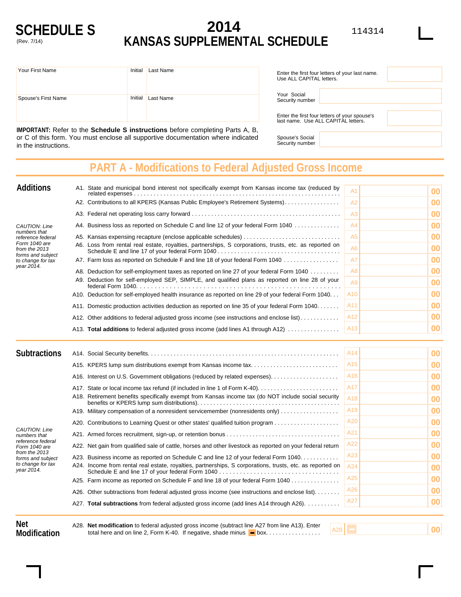

## **2014 KANSAS SUPPLEMENTAL SCHEDULE**

| Your First Name     | Initial | Last Name | Enter the first four letters of your last name.<br>Use ALL CAPITAL letters. |                                                                                     |  |
|---------------------|---------|-----------|-----------------------------------------------------------------------------|-------------------------------------------------------------------------------------|--|
|                     |         |           |                                                                             |                                                                                     |  |
|                     |         |           | Your Social                                                                 |                                                                                     |  |
| Spouse's First Name | Initial | Last Name | Security number                                                             |                                                                                     |  |
|                     |         |           |                                                                             |                                                                                     |  |
|                     |         |           |                                                                             | Enter the first four letters of your spouse's<br>loot nome Llee ALL CADITAL letters |  |

**IMPORTANT:** Refer to the **Schedule S instructions** before completing Parts A, B, or C of this form. You must enclose all supportive documentation where indicated in the instructions.

| Line the mot loan letters or your last hang.<br>Use ALL CAPITAL letters. |                                                                                      |  |  |  |  |
|--------------------------------------------------------------------------|--------------------------------------------------------------------------------------|--|--|--|--|
| Your Social<br>Security number                                           |                                                                                      |  |  |  |  |
|                                                                          | Enter the first four letters of your spouse's<br>last name. Use ALL CAPITAL letters. |  |  |  |  |

Spouse's Social Security number

**PART A - Modifications to Federal Adjusted Gross Income**

| <b>Additions</b>                                                                       | A1. State and municipal bond interest not specifically exempt from Kansas income tax (reduced by             | A1              | 00 |
|----------------------------------------------------------------------------------------|--------------------------------------------------------------------------------------------------------------|-----------------|----|
|                                                                                        | A2. Contributions to all KPERS (Kansas Public Employee's Retirement Systems)                                 | A2              | 00 |
|                                                                                        |                                                                                                              | A <sub>3</sub>  | 00 |
| CAUTION: Line                                                                          | A4. Business loss as reported on Schedule C and line 12 of your federal Form 1040                            | A4              | 00 |
| numbers that<br>reference federal                                                      | A5. Kansas expensing recapture (enclose applicable schedules)                                                | A5              | 00 |
| Form 1040 are<br>from the 2013<br>forms and subject<br>to change for tax<br>year 2014. | A6. Loss from rental real estate, royalties, partnerships, S corporations, trusts, etc. as reported on<br>A6 |                 | 00 |
|                                                                                        | A7. Farm loss as reported on Schedule F and line 18 of your federal Form 1040                                | A7              | 00 |
|                                                                                        | A8. Deduction for self-employment taxes as reported on line 27 of your federal Form 1040                     | A8              | 00 |
|                                                                                        | A9. Deduction for self-employed SEP, SIMPLE, and qualified plans as reported on line 28 of your              | A9              | 00 |
|                                                                                        | A10. Deduction for self-employed health insurance as reported on line 29 of your federal Form 1040           | A10             | 00 |
|                                                                                        | A11. Domestic production activities deduction as reported on line 35 of your federal Form 1040.              | A11             | 00 |
|                                                                                        | A12. Other additions to federal adjusted gross income (see instructions and enclose list)                    | A12             | 00 |
|                                                                                        | A13. Total additions to federal adjusted gross income (add lines A1 through A12)                             | A13             | 00 |
| <b>Subtractions</b>                                                                    |                                                                                                              | A <sub>14</sub> | 00 |

| <b>Subtractions</b>                                                                                                                          |                                                                                                     |                                                                                                            | A14             | $ 00\rangle$ |
|----------------------------------------------------------------------------------------------------------------------------------------------|-----------------------------------------------------------------------------------------------------|------------------------------------------------------------------------------------------------------------|-----------------|--------------|
|                                                                                                                                              |                                                                                                     |                                                                                                            | A <sub>15</sub> | $ 00\rangle$ |
|                                                                                                                                              |                                                                                                     |                                                                                                            | A16             | $ 00\rangle$ |
|                                                                                                                                              |                                                                                                     |                                                                                                            | A17             | $ 00\rangle$ |
|                                                                                                                                              | A18. Retirement benefits specifically exempt from Kansas income tax (do NOT include social security |                                                                                                            | A <sub>18</sub> | 00           |
|                                                                                                                                              |                                                                                                     | A19. Military compensation of a nonresident servicemember (nonresidents only)                              | A19             | $ 00\rangle$ |
| CAUTION: Line<br>numbers that<br>reference federal<br>Form 1040 are<br>from the 2013<br>forms and subject<br>to change for tax<br>year 2014. |                                                                                                     | A20. Contributions to Learning Quest or other states' qualified tuition program                            | A20             | 00           |
|                                                                                                                                              |                                                                                                     |                                                                                                            | A21             | $ 00\rangle$ |
|                                                                                                                                              |                                                                                                     | A22. Net gain from qualified sale of cattle, horses and other livestock as reported on your federal return | A22             | $ 00\rangle$ |
|                                                                                                                                              |                                                                                                     | A23. Business income as reported on Schedule C and line 12 of your federal Form 1040                       | A23             | $ 00\rangle$ |
|                                                                                                                                              |                                                                                                     | A24. Income from rental real estate, royalties, partnerships, S corporations, trusts, etc. as reported on  | A24             | 00           |
|                                                                                                                                              |                                                                                                     | A25. Farm income as reported on Schedule F and line 18 of your federal Form 1040                           | A25             | 00           |
|                                                                                                                                              |                                                                                                     | A26. Other subtractions from federal adjusted gross income (see instructions and enclose list).            | A26             | $ 00\rangle$ |
|                                                                                                                                              |                                                                                                     | A27. Total subtractions from federal adjusted gross income (add lines A14 through A26).                    | A27             | $ 00\rangle$ |
|                                                                                                                                              |                                                                                                     |                                                                                                            |                 |              |

**Net Modification**

total here and on line 2, Form K-40. If negative, shade minus  $\blacksquare$  box................ A28. **Net modification** to federal adjusted gross income (subtract line A27 from line A13). Enter

A28 **00**